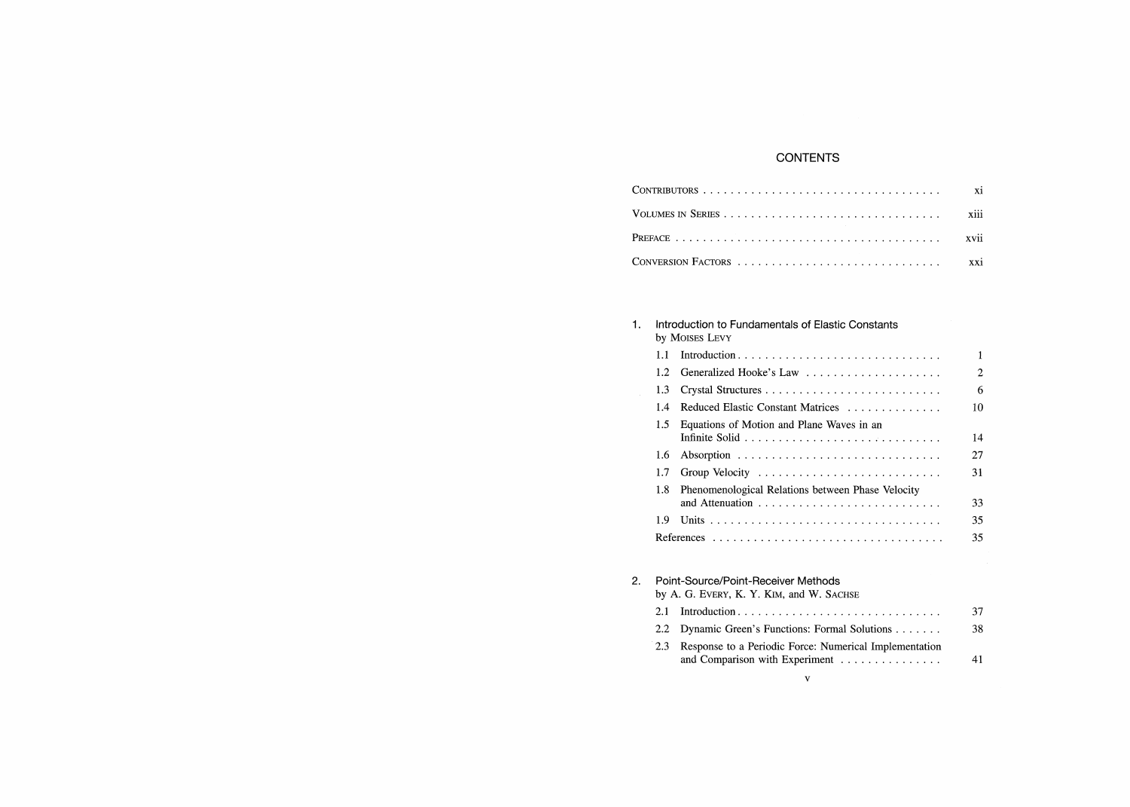# **CONTENTS**

### 1. Introduction to Fundamentals of Elastic Constan by MOISES LEVY

|    | 1.1     |                                                               | 1              |
|----|---------|---------------------------------------------------------------|----------------|
|    | $1.2\,$ |                                                               | $\mathfrak{D}$ |
|    | 1.3     |                                                               | 6              |
|    | 1.4     | Reduced Elastic Constant Matrices                             | 10             |
|    | 1.5     | Equations of Motion and Plane Waves in an                     | 14             |
|    | 1.6     |                                                               | 27             |
|    | 1.7     |                                                               | 31             |
|    | 1.8     | Phenomenological Relations between Phase Velocity             | 33             |
|    | 1.9     |                                                               | 35             |
|    |         |                                                               | 35             |
| 2. |         | Point-Source/Point-Receiver Methods                           |                |
|    |         | by A. G. EVERY, K. Y. KIM, and W. SACHSE<br>$21$ Introduction | 37             |
|    |         |                                                               |                |

|                                                            | -37 |
|------------------------------------------------------------|-----|
| 2.2 Dynamic Green's Functions: Formal Solutions            | 38  |
| 2.3 Response to a Periodic Force: Numerical Implementation |     |

| $\sigma$ Response to a Ferrourd Porce. Numerical implementation |  |
|-----------------------------------------------------------------|--|
| and Comparison with Experiment                                  |  |

 $\mathbf{v}$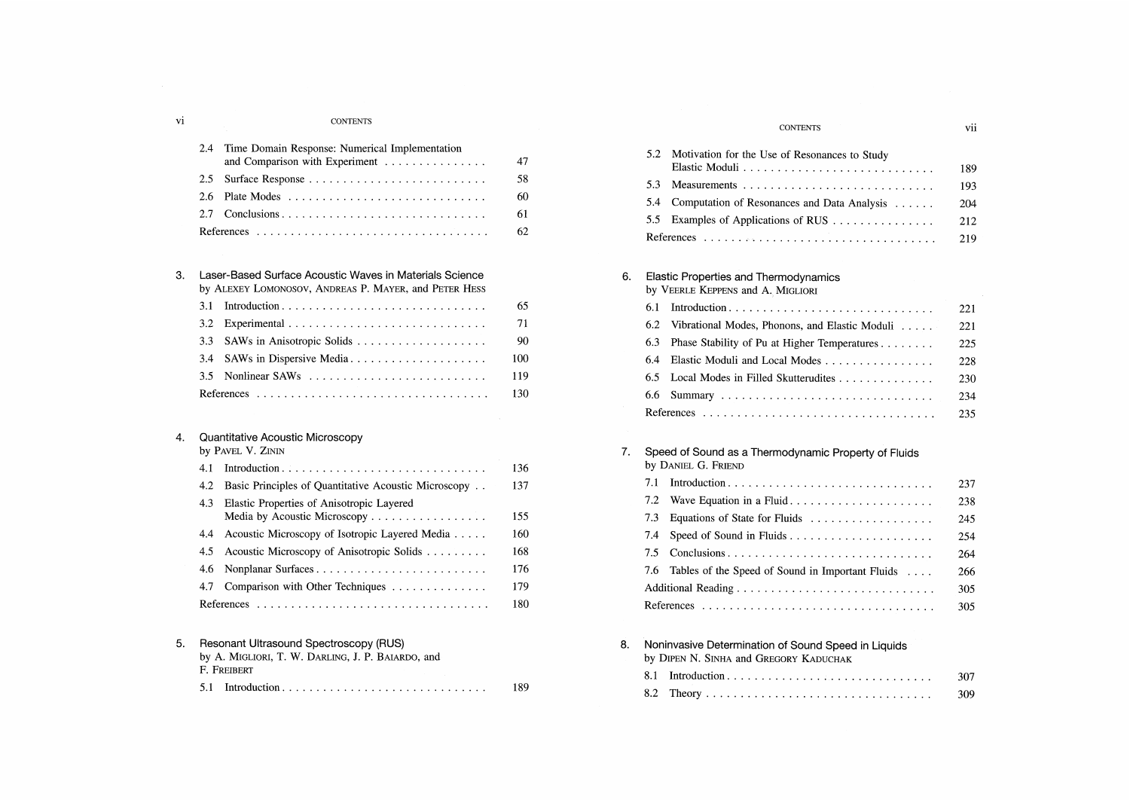#### **CONTENTS**

| 2.4 | Time Domain Response: Numerical Implementation |     |
|-----|------------------------------------------------|-----|
|     | and Comparison with Experiment                 |     |
|     | 2.5 Surface Response                           | 58. |
|     |                                                | 60. |
|     |                                                | 61. |
|     |                                                | 62. |

#### 3. Laser-Based Surface Acoustic Waves in Materials Science by ALEXEY LOMONOSOV, ANDREAS P. MAYER, and PETER HESS

| UY TELEVIST LOINONOSOV, TENDREAS I. MATER, GRU LETER TIESS |                                |       |
|------------------------------------------------------------|--------------------------------|-------|
| 3.1                                                        |                                | 65.   |
|                                                            |                                | 71    |
|                                                            | 3.3 SAWs in Anisotropic Solids | 90.   |
|                                                            |                                | 100   |
|                                                            |                                | 119   |
|                                                            |                                | -130- |

## 4. Quantitative Acoustic Microscopy

by PAVEL V. ZININ

|    | 4.1 |                                                                           | 136 |
|----|-----|---------------------------------------------------------------------------|-----|
|    | 4.2 | Basic Principles of Quantitative Acoustic Microscopy                      | 137 |
|    | 4.3 | Elastic Properties of Anisotropic Layered<br>Media by Acoustic Microscopy | 155 |
|    | 4.4 | Acoustic Microscopy of Isotropic Layered Media                            | 160 |
|    | 4.5 | Acoustic Microscopy of Anisotropic Solids                                 | 168 |
|    | 4.6 | Nonplanar Surfaces                                                        | 176 |
|    | 4.7 | Comparison with Other Techniques                                          | 179 |
|    |     |                                                                           | 180 |
|    |     |                                                                           |     |
| 5. |     | Resonant Ultrasound Spectroscopy (RUS)                                    |     |

| 3. Resolutive University SpecificsCODV (NOS)      |     |
|---------------------------------------------------|-----|
| by A. MIGLIORI, T. W. DARLING, J. P. BAIARDO, and |     |
| F. Freibert                                       |     |
|                                                   | 189 |

## **CONTENTS**

5.2 Motivation for the Use of Resonances to Study Elastic Moduli 189 189 5.3 Measurements 193 5.4 Computation of Resonances and Data Analysis ...... 204 5.5 Examples of Applications of RUS . . . . . . . . . . . . . . . 212 References 219

# 6. Elastic Properties and Thermodynamics

by VEERLE KEPPENS and A. MIGLIORI

|     |                                                | 221  |
|-----|------------------------------------------------|------|
| 6.2 | Vibrational Modes, Phonons, and Elastic Moduli | 221  |
| 6.3 | Phase Stability of Pu at Higher Temperatures   | 225  |
| 6.4 | Elastic Moduli and Local Modes                 | 228  |
|     |                                                | 230  |
|     |                                                | 234  |
|     |                                                | 235. |

| 7. |     | Speed of Sound as a Thermodynamic Property of Fluids<br>by DANIEL G. FRIEND |              |
|----|-----|-----------------------------------------------------------------------------|--------------|
|    | 7.1 |                                                                             | 237          |
|    | 7.2 | Wave Equation in a Fluid                                                    | 238          |
|    | 7.3 | Equations of State for Fluids                                               | $24^{\circ}$ |
|    | 7.4 |                                                                             | 254          |
|    |     |                                                                             | 264          |
|    |     | 7.6 Tables of the Speed of Sound in Important Fluids                        | 266          |
|    |     |                                                                             | 305          |
|    |     |                                                                             | 305          |

8. Noninvasive Determination of Sound Speed in Liquids by DIPEN N. SINHA and GREGORY KADUCHAK 8.1 Introduction 307 8.2 Theory 309

vi

vii